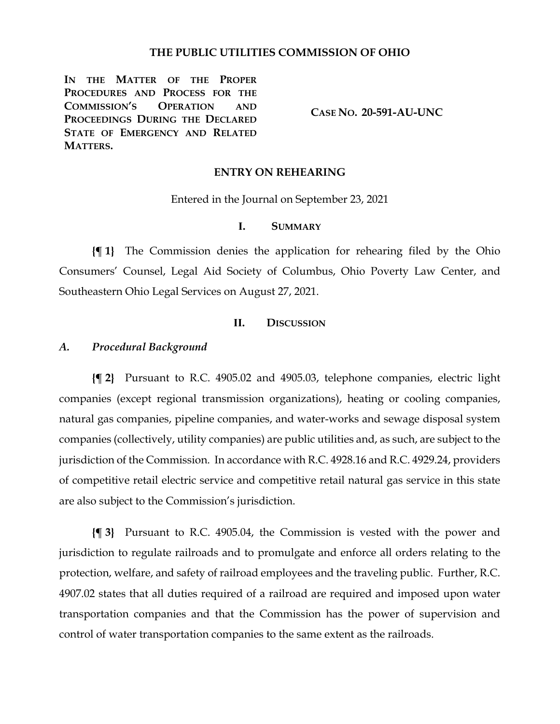## **THE PUBLIC UTILITIES COMMISSION OF OHIO**

**IN THE MATTER OF THE PROPER PROCEDURES AND PROCESS FOR THE COMMISSION'S OPERATION AND PROCEEDINGS DURING THE DECLARED STATE OF EMERGENCY AND RELATED MATTERS.**

**CASE NO. 20-591-AU-UNC**

### **ENTRY ON REHEARING**

Entered in the Journal on September 23, 2021

## **I. SUMMARY**

**{¶ 1}** The Commission denies the application for rehearing filed by the Ohio Consumers' Counsel, Legal Aid Society of Columbus, Ohio Poverty Law Center, and Southeastern Ohio Legal Services on August 27, 2021.

### **II. DISCUSSION**

## *A. Procedural Background*

**{¶ 2}** Pursuant to R.C. 4905.02 and 4905.03, telephone companies, electric light companies (except regional transmission organizations), heating or cooling companies, natural gas companies, pipeline companies, and water-works and sewage disposal system companies (collectively, utility companies) are public utilities and, as such, are subject to the jurisdiction of the Commission. In accordance with R.C. 4928.16 and R.C. 4929.24, providers of competitive retail electric service and competitive retail natural gas service in this state are also subject to the Commission's jurisdiction.

**{¶ 3}** Pursuant to R.C. 4905.04, the Commission is vested with the power and jurisdiction to regulate railroads and to promulgate and enforce all orders relating to the protection, welfare, and safety of railroad employees and the traveling public. Further, R.C. 4907.02 states that all duties required of a railroad are required and imposed upon water transportation companies and that the Commission has the power of supervision and control of water transportation companies to the same extent as the railroads.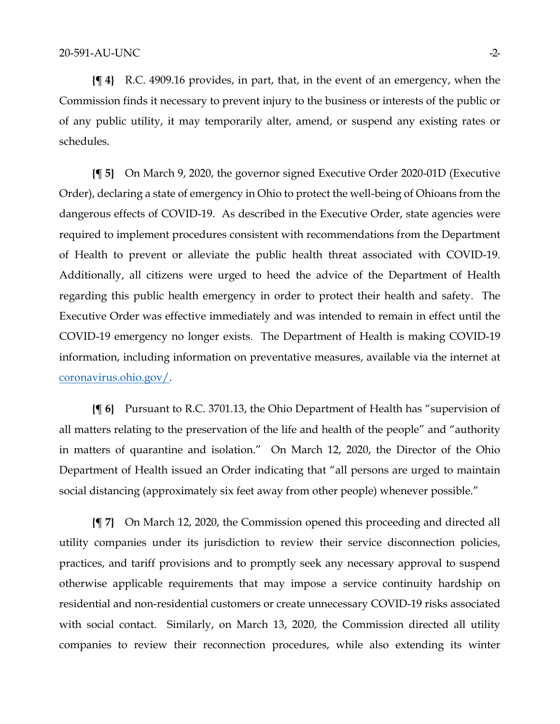**{¶ 4}** R.C. 4909.16 provides, in part, that, in the event of an emergency, when the Commission finds it necessary to prevent injury to the business or interests of the public or of any public utility, it may temporarily alter, amend, or suspend any existing rates or schedules.

**{¶ 5}** On March 9, 2020, the governor signed Executive Order 2020-01D (Executive Order), declaring a state of emergency in Ohio to protect the well-being of Ohioans from the dangerous effects of COVID-19. As described in the Executive Order, state agencies were required to implement procedures consistent with recommendations from the Department of Health to prevent or alleviate the public health threat associated with COVID-19. Additionally, all citizens were urged to heed the advice of the Department of Health regarding this public health emergency in order to protect their health and safety. The Executive Order was effective immediately and was intended to remain in effect until the COVID-19 emergency no longer exists. The Department of Health is making COVID-19 information, including information on preventative measures, available via the internet at [coronavirus.ohio.gov/.](https://coronavirus.ohio.gov/)

**{¶ 6}** Pursuant to R.C. 3701.13, the Ohio Department of Health has "supervision of all matters relating to the preservation of the life and health of the people" and "authority in matters of quarantine and isolation." On March 12, 2020, the Director of the Ohio Department of Health issued an Order indicating that "all persons are urged to maintain social distancing (approximately six feet away from other people) whenever possible."

**{¶ 7}** On March 12, 2020, the Commission opened this proceeding and directed all utility companies under its jurisdiction to review their service disconnection policies, practices, and tariff provisions and to promptly seek any necessary approval to suspend otherwise applicable requirements that may impose a service continuity hardship on residential and non-residential customers or create unnecessary COVID-19 risks associated with social contact. Similarly, on March 13, 2020, the Commission directed all utility companies to review their reconnection procedures, while also extending its winter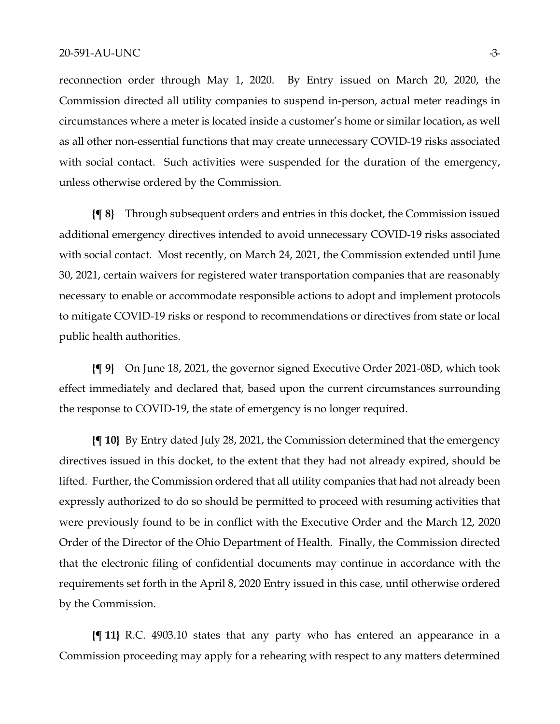#### 20-591-AU-UNC -3-

reconnection order through May 1, 2020. By Entry issued on March 20, 2020, the Commission directed all utility companies to suspend in-person, actual meter readings in circumstances where a meter is located inside a customer's home or similar location, as well as all other non-essential functions that may create unnecessary COVID-19 risks associated with social contact. Such activities were suspended for the duration of the emergency, unless otherwise ordered by the Commission.

**{¶ 8}** Through subsequent orders and entries in this docket, the Commission issued additional emergency directives intended to avoid unnecessary COVID-19 risks associated with social contact. Most recently, on March 24, 2021, the Commission extended until June 30, 2021, certain waivers for registered water transportation companies that are reasonably necessary to enable or accommodate responsible actions to adopt and implement protocols to mitigate COVID-19 risks or respond to recommendations or directives from state or local public health authorities.

**{¶ 9}** On June 18, 2021, the governor signed Executive Order 2021-08D, which took effect immediately and declared that, based upon the current circumstances surrounding the response to COVID-19, the state of emergency is no longer required.

**{¶ 10}** By Entry dated July 28, 2021, the Commission determined that the emergency directives issued in this docket, to the extent that they had not already expired, should be lifted. Further, the Commission ordered that all utility companies that had not already been expressly authorized to do so should be permitted to proceed with resuming activities that were previously found to be in conflict with the Executive Order and the March 12, 2020 Order of the Director of the Ohio Department of Health. Finally, the Commission directed that the electronic filing of confidential documents may continue in accordance with the requirements set forth in the April 8, 2020 Entry issued in this case, until otherwise ordered by the Commission.

**{¶ 11}** R.C. 4903.10 states that any party who has entered an appearance in a Commission proceeding may apply for a rehearing with respect to any matters determined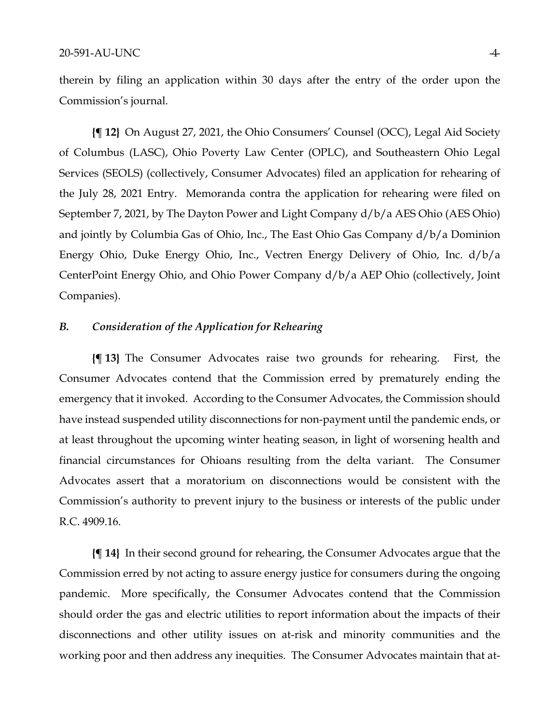therein by filing an application within 30 days after the entry of the order upon the Commission's journal.

**{¶ 12}** On August 27, 2021, the Ohio Consumers' Counsel (OCC), Legal Aid Society of Columbus (LASC), Ohio Poverty Law Center (OPLC), and Southeastern Ohio Legal Services (SEOLS) (collectively, Consumer Advocates) filed an application for rehearing of the July 28, 2021 Entry. Memoranda contra the application for rehearing were filed on September 7, 2021, by The Dayton Power and Light Company d/b/a AES Ohio (AES Ohio) and jointly by Columbia Gas of Ohio, Inc., The East Ohio Gas Company d/b/a Dominion Energy Ohio, Duke Energy Ohio, Inc., Vectren Energy Delivery of Ohio, Inc. d/b/a CenterPoint Energy Ohio, and Ohio Power Company d/b/a AEP Ohio (collectively, Joint Companies).

# *B. Consideration of the Application for Rehearing*

**{¶ 13}** The Consumer Advocates raise two grounds for rehearing. First, the Consumer Advocates contend that the Commission erred by prematurely ending the emergency that it invoked. According to the Consumer Advocates, the Commission should have instead suspended utility disconnections for non-payment until the pandemic ends, or at least throughout the upcoming winter heating season, in light of worsening health and financial circumstances for Ohioans resulting from the delta variant. The Consumer Advocates assert that a moratorium on disconnections would be consistent with the Commission's authority to prevent injury to the business or interests of the public under R.C. 4909.16.

**{¶ 14}** In their second ground for rehearing, the Consumer Advocates argue that the Commission erred by not acting to assure energy justice for consumers during the ongoing pandemic. More specifically, the Consumer Advocates contend that the Commission should order the gas and electric utilities to report information about the impacts of their disconnections and other utility issues on at-risk and minority communities and the working poor and then address any inequities. The Consumer Advocates maintain that at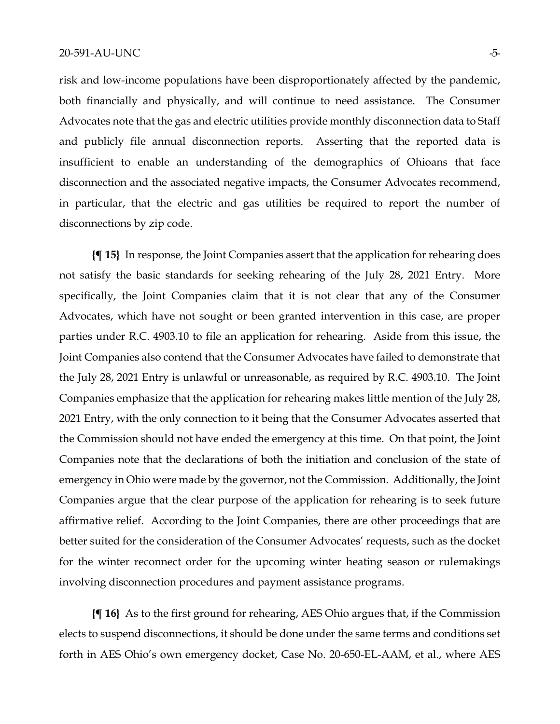risk and low-income populations have been disproportionately affected by the pandemic, both financially and physically, and will continue to need assistance. The Consumer Advocates note that the gas and electric utilities provide monthly disconnection data to Staff and publicly file annual disconnection reports. Asserting that the reported data is insufficient to enable an understanding of the demographics of Ohioans that face disconnection and the associated negative impacts, the Consumer Advocates recommend, in particular, that the electric and gas utilities be required to report the number of disconnections by zip code.

**{¶ 15}** In response, the Joint Companies assert that the application for rehearing does not satisfy the basic standards for seeking rehearing of the July 28, 2021 Entry. More specifically, the Joint Companies claim that it is not clear that any of the Consumer Advocates, which have not sought or been granted intervention in this case, are proper parties under R.C. 4903.10 to file an application for rehearing. Aside from this issue, the Joint Companies also contend that the Consumer Advocates have failed to demonstrate that the July 28, 2021 Entry is unlawful or unreasonable, as required by R.C. 4903.10. The Joint Companies emphasize that the application for rehearing makes little mention of the July 28, 2021 Entry, with the only connection to it being that the Consumer Advocates asserted that the Commission should not have ended the emergency at this time. On that point, the Joint Companies note that the declarations of both the initiation and conclusion of the state of emergency in Ohio were made by the governor, not the Commission. Additionally, the Joint Companies argue that the clear purpose of the application for rehearing is to seek future affirmative relief. According to the Joint Companies, there are other proceedings that are better suited for the consideration of the Consumer Advocates' requests, such as the docket for the winter reconnect order for the upcoming winter heating season or rulemakings involving disconnection procedures and payment assistance programs.

**{¶ 16}** As to the first ground for rehearing, AES Ohio argues that, if the Commission elects to suspend disconnections, it should be done under the same terms and conditions set forth in AES Ohio's own emergency docket, Case No. 20-650-EL-AAM, et al., where AES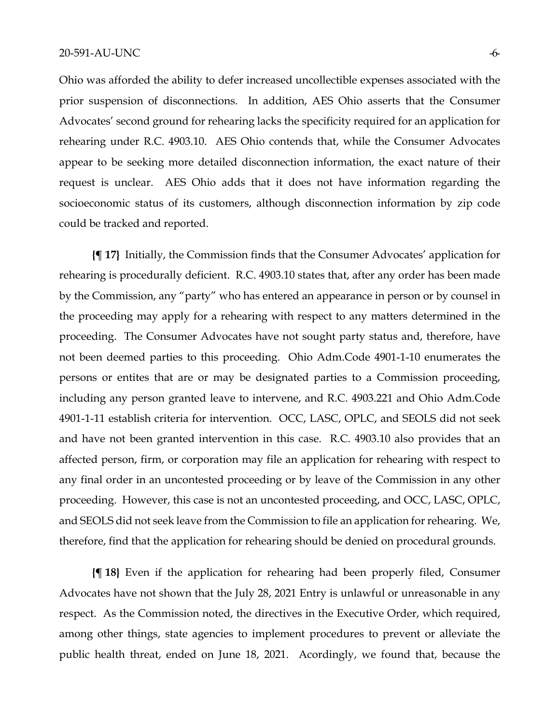Ohio was afforded the ability to defer increased uncollectible expenses associated with the prior suspension of disconnections. In addition, AES Ohio asserts that the Consumer Advocates' second ground for rehearing lacks the specificity required for an application for rehearing under R.C. 4903.10. AES Ohio contends that, while the Consumer Advocates appear to be seeking more detailed disconnection information, the exact nature of their request is unclear. AES Ohio adds that it does not have information regarding the socioeconomic status of its customers, although disconnection information by zip code could be tracked and reported.

**{¶ 17}** Initially, the Commission finds that the Consumer Advocates' application for rehearing is procedurally deficient. R.C. 4903.10 states that, after any order has been made by the Commission, any "party" who has entered an appearance in person or by counsel in the proceeding may apply for a rehearing with respect to any matters determined in the proceeding. The Consumer Advocates have not sought party status and, therefore, have not been deemed parties to this proceeding. Ohio Adm.Code 4901-1-10 enumerates the persons or entites that are or may be designated parties to a Commission proceeding, including any person granted leave to intervene, and R.C. 4903.221 and Ohio Adm.Code 4901-1-11 establish criteria for intervention. OCC, LASC, OPLC, and SEOLS did not seek and have not been granted intervention in this case. R.C. 4903.10 also provides that an affected person, firm, or corporation may file an application for rehearing with respect to any final order in an uncontested proceeding or by leave of the Commission in any other proceeding. However, this case is not an uncontested proceeding, and OCC, LASC, OPLC, and SEOLS did not seek leave from the Commission to file an application for rehearing. We, therefore, find that the application for rehearing should be denied on procedural grounds.

**{¶ 18}** Even if the application for rehearing had been properly filed, Consumer Advocates have not shown that the July 28, 2021 Entry is unlawful or unreasonable in any respect. As the Commission noted, the directives in the Executive Order, which required, among other things, state agencies to implement procedures to prevent or alleviate the public health threat, ended on June 18, 2021. Acordingly, we found that, because the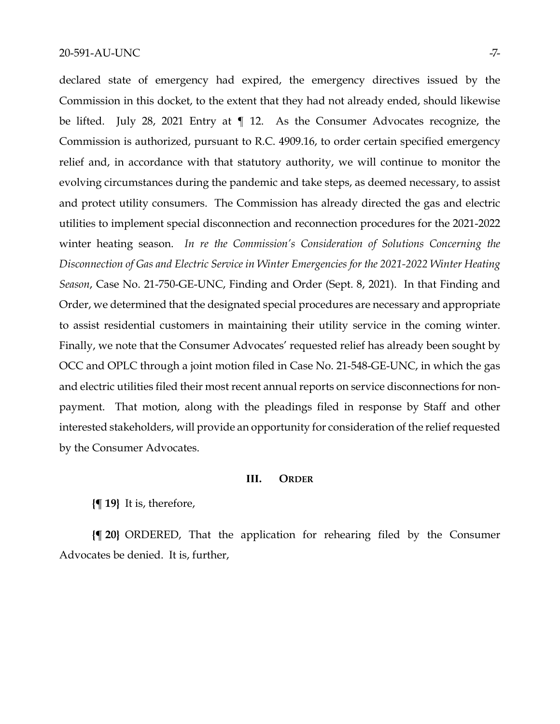declared state of emergency had expired, the emergency directives issued by the Commission in this docket, to the extent that they had not already ended, should likewise be lifted. July 28, 2021 Entry at ¶ 12. As the Consumer Advocates recognize, the Commission is authorized, pursuant to R.C. 4909.16, to order certain specified emergency relief and, in accordance with that statutory authority, we will continue to monitor the evolving circumstances during the pandemic and take steps, as deemed necessary, to assist and protect utility consumers. The Commission has already directed the gas and electric utilities to implement special disconnection and reconnection procedures for the 2021-2022 winter heating season. *In re the Commission's Consideration of Solutions Concerning the Disconnection of Gas and Electric Service in Winter Emergencies for the 2021-2022 Winter Heating Season*, Case No. 21-750-GE-UNC, Finding and Order (Sept. 8, 2021). In that Finding and Order, we determined that the designated special procedures are necessary and appropriate to assist residential customers in maintaining their utility service in the coming winter. Finally, we note that the Consumer Advocates' requested relief has already been sought by OCC and OPLC through a joint motion filed in Case No. 21-548-GE-UNC, in which the gas and electric utilities filed their most recent annual reports on service disconnections for nonpayment. That motion, along with the pleadings filed in response by Staff and other interested stakeholders, will provide an opportunity for consideration of the relief requested by the Consumer Advocates.

#### **III. ORDER**

**{¶ 19}** It is, therefore,

**{¶ 20}** ORDERED, That the application for rehearing filed by the Consumer Advocates be denied. It is, further,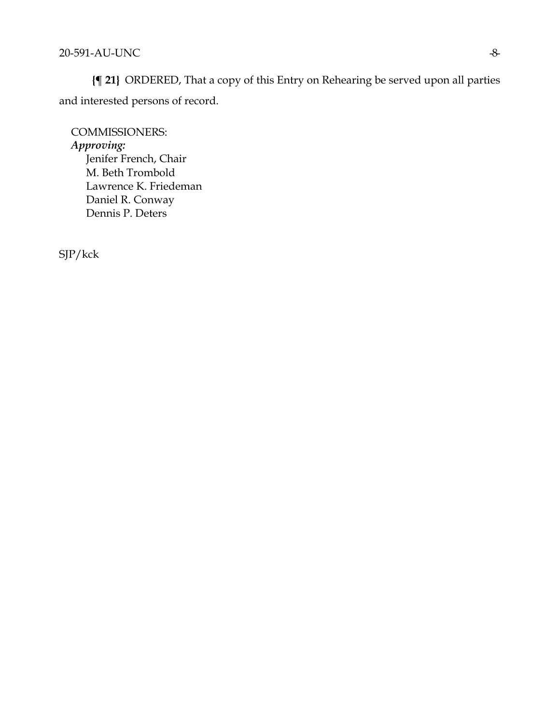**{¶ 21}** ORDERED, That a copy of this Entry on Rehearing be served upon all parties and interested persons of record.

COMMISSIONERS: *Approving:*  Jenifer French, Chair M. Beth Trombold Lawrence K. Friedeman Daniel R. Conway Dennis P. Deters

SJP/kck